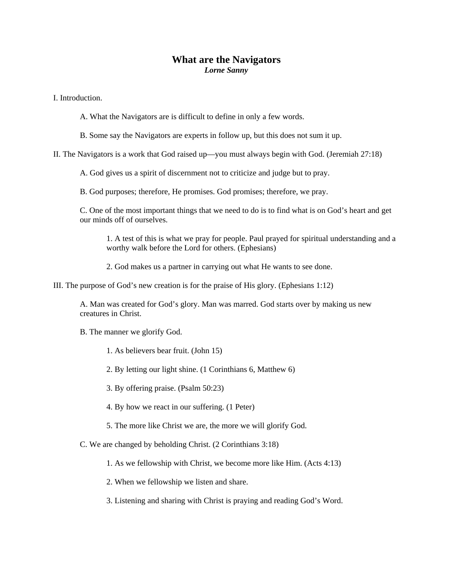## **What are the Navigators**  *Lorne Sanny*

I. Introduction.

- A. What the Navigators are is difficult to define in only a few words.
- B. Some say the Navigators are experts in follow up, but this does not sum it up.

II. The Navigators is a work that God raised up—you must always begin with God. (Jeremiah 27:18)

A. God gives us a spirit of discernment not to criticize and judge but to pray.

B. God purposes; therefore, He promises. God promises; therefore, we pray.

C. One of the most important things that we need to do is to find what is on God's heart and get our minds off of ourselves.

1. A test of this is what we pray for people. Paul prayed for spiritual understanding and a worthy walk before the Lord for others. (Ephesians)

2. God makes us a partner in carrying out what He wants to see done.

III. The purpose of God's new creation is for the praise of His glory. (Ephesians 1:12)

A. Man was created for God's glory. Man was marred. God starts over by making us new creatures in Christ.

B. The manner we glorify God.

1. As believers bear fruit. (John 15)

2. By letting our light shine. (1 Corinthians 6, Matthew 6)

3. By offering praise. (Psalm 50:23)

4. By how we react in our suffering. (1 Peter)

5. The more like Christ we are, the more we will glorify God.

C. We are changed by beholding Christ. (2 Corinthians 3:18)

1. As we fellowship with Christ, we become more like Him. (Acts 4:13)

2. When we fellowship we listen and share.

3. Listening and sharing with Christ is praying and reading God's Word.